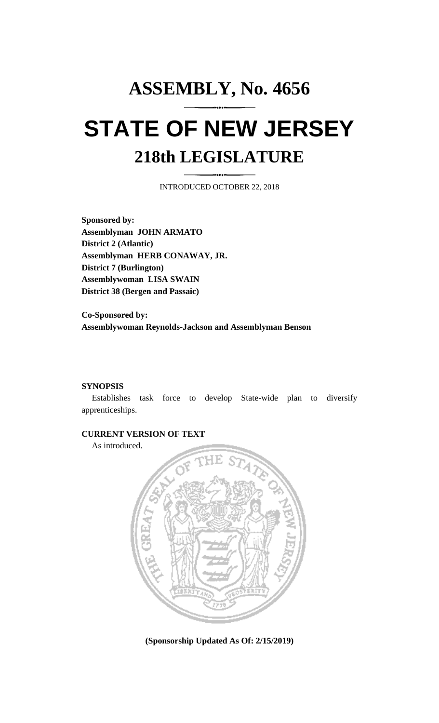# **ASSEMBLY, No. 4656 STATE OF NEW JERSEY 218th LEGISLATURE**

INTRODUCED OCTOBER 22, 2018

**Sponsored by: Assemblyman JOHN ARMATO District 2 (Atlantic) Assemblyman HERB CONAWAY, JR. District 7 (Burlington) Assemblywoman LISA SWAIN District 38 (Bergen and Passaic)**

**Co-Sponsored by: Assemblywoman Reynolds-Jackson and Assemblyman Benson**

### **SYNOPSIS**

Establishes task force to develop State-wide plan to diversify apprenticeships.

## **CURRENT VERSION OF TEXT**

As introduced.



**(Sponsorship Updated As Of: 2/15/2019)**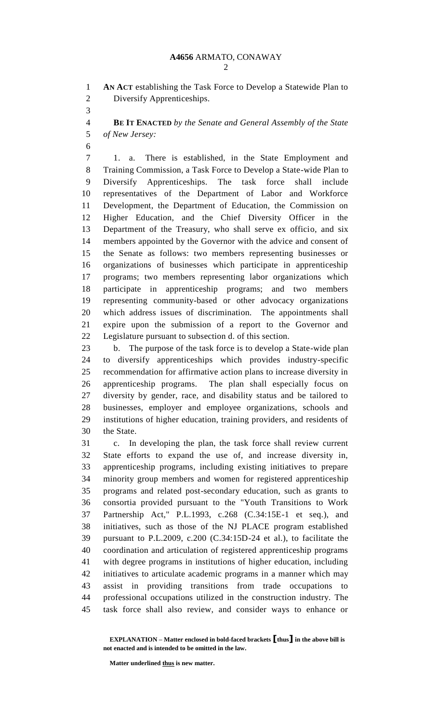**AN ACT** establishing the Task Force to Develop a Statewide Plan to Diversify Apprenticeships.

 **BE IT ENACTED** *by the Senate and General Assembly of the State of New Jersey:*

 1. a. There is established, in the State Employment and Training Commission, a Task Force to Develop a State-wide Plan to Diversify Apprenticeships. The task force shall include representatives of the Department of Labor and Workforce Development, the Department of Education, the Commission on Higher Education, and the Chief Diversity Officer in the Department of the Treasury, who shall serve ex officio, and six members appointed by the Governor with the advice and consent of the Senate as follows: two members representing businesses or organizations of businesses which participate in apprenticeship programs; two members representing labor organizations which participate in apprenticeship programs; and two members representing community-based or other advocacy organizations which address issues of discrimination. The appointments shall expire upon the submission of a report to the Governor and Legislature pursuant to subsection d. of this section.

 b. The purpose of the task force is to develop a State-wide plan to diversify apprenticeships which provides industry-specific recommendation for affirmative action plans to increase diversity in apprenticeship programs. The plan shall especially focus on diversity by gender, race, and disability status and be tailored to businesses, employer and employee organizations, schools and institutions of higher education, training providers, and residents of the State.

 c. In developing the plan, the task force shall review current State efforts to expand the use of, and increase diversity in, apprenticeship programs, including existing initiatives to prepare minority group members and women for registered apprenticeship programs and related post-secondary education, such as grants to consortia provided pursuant to the "Youth Transitions to Work Partnership Act," P.L.1993, c.268 (C.34:15E-1 et seq.), and initiatives, such as those of the NJ PLACE program established pursuant to P.L.2009, c.200 (C.34:15D-24 et al.), to facilitate the coordination and articulation of registered apprenticeship programs with degree programs in institutions of higher education, including initiatives to articulate academic programs in a manner which may assist in providing transitions from trade occupations to professional occupations utilized in the construction industry. The task force shall also review, and consider ways to enhance or

**EXPLANATION – Matter enclosed in bold-faced brackets [thus] in the above bill is not enacted and is intended to be omitted in the law.**

**Matter underlined thus is new matter.**